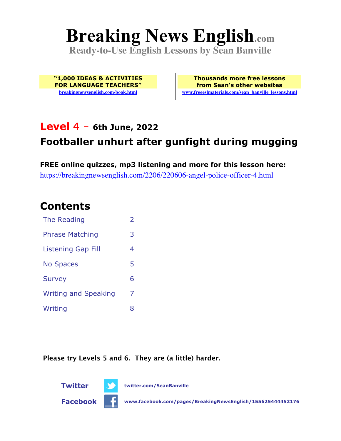# **Breaking News English.com**

**Ready-to-Use English Lessons by Sean Banville**

**"1,000 IDEAS & ACTIVITIES FOR LANGUAGE TEACHERS" breakingnewsenglish.com/book.html**

**Thousands more free lessons from Sean's other websites www.freeeslmaterials.com/sean\_banville\_lessons.html**

### **Level 4 - 6th June, 2022**

# **Footballer unhurt after gunfight during mugging**

**FREE online quizzes, mp3 listening and more for this lesson here:** https://breakingnewsenglish.com/2206/220606-angel-police-officer-4.html

### **Contents**

| The Reading                 | $\overline{2}$ |
|-----------------------------|----------------|
| <b>Phrase Matching</b>      | 3              |
| <b>Listening Gap Fill</b>   | 4              |
| <b>No Spaces</b>            | 5              |
| <b>Survey</b>               | 6              |
| <b>Writing and Speaking</b> | 7              |
| Writing                     | 8              |

**Please try Levels 5 and 6. They are (a little) harder.**





**Facebook www.facebook.com/pages/BreakingNewsEnglish/155625444452176**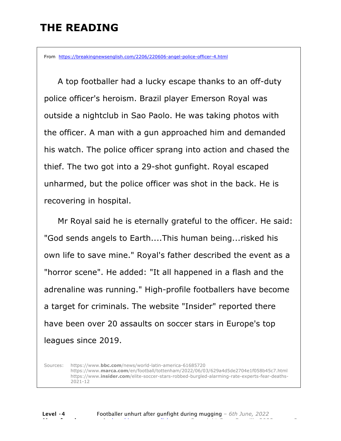# **THE READING**

From https://breakingnewsenglish.com/2206/220606-angel-police-officer-4.html

 A top footballer had a lucky escape thanks to an off-duty police officer's heroism. Brazil player Emerson Royal was outside a nightclub in Sao Paolo. He was taking photos with the officer. A man with a gun approached him and demanded his watch. The police officer sprang into action and chased the thief. The two got into a 29-shot gunfight. Royal escaped unharmed, but the police officer was shot in the back. He is recovering in hospital.

 Mr Royal said he is eternally grateful to the officer. He said: "God sends angels to Earth....This human being...risked his own life to save mine." Royal's father described the event as a "horror scene". He added: "It all happened in a flash and the adrenaline was running." High-profile footballers have become a target for criminals. The website "Insider" reported there have been over 20 assaults on soccer stars in Europe's top leagues since 2019.

Sources: https://www.**bbc.com**/news/world-latin-america-61685720 https://www.**marca.com**/en/football/tottenham/2022/06/03/629a4d5de2704e1f058b45c7.html https://www.**insider.com**/elite-soccer-stars-robbed-burgled-alarming-rate-experts-fear-deaths-2021-12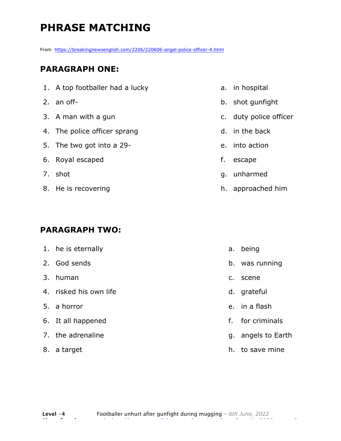# **PHRASE MATCHING**

From https://breakingnewsenglish.com/2206/220606-angel-police-officer-4.html

#### **PARAGRAPH ONE:**

- 1. A top footballer had a lucky
- 2. an off-
- 3. A man with a gun
- 4. The police officer sprang
- 5. The two got into a 29-
- 6. Royal escaped
- 7. shot
- 8. He is recovering

#### **PARAGRAPH TWO:**

| 1. he is eternally     |               | a. being           |
|------------------------|---------------|--------------------|
| 2. God sends           |               | b. was running     |
| 3. human               | $C_{\bullet}$ | scene              |
| 4. risked his own life |               | d. grateful        |
| 5. a horror            |               | e. in a flash      |
| 6. It all happened     |               | f. for criminals   |
| 7. the adrenaline      |               | g. angels to Earth |

8. a target

- a. in hospital
- b. shot gunfight
- c. duty police officer
- d. in the back
- e. into action
- f. escape
- g. unharmed
- h. approached him

h. to save mine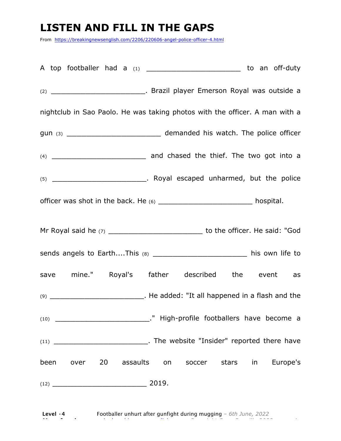# **LISTEN AND FILL IN THE GAPS**

From https://breakingnewsenglish.com/2206/220606-angel-police-officer-4.html

A top footballer had a (1) \_\_\_\_\_\_\_\_\_\_\_\_\_\_\_\_\_\_\_\_\_\_ to an off-duty (2) \_\_\_\_\_\_\_\_\_\_\_\_\_\_\_\_\_\_\_. Brazil player Emerson Royal was outside a nightclub in Sao Paolo. He was taking photos with the officer. A man with a gun (3) \_\_\_\_\_\_\_\_\_\_\_\_\_\_\_\_\_\_\_\_\_\_\_\_\_\_\_\_\_\_\_ demanded his watch. The police officer (4) \_\_\_\_\_\_\_\_\_\_\_\_\_\_\_\_\_\_\_ and chased the thief. The two got into a (5) \_\_\_\_\_\_\_\_\_\_\_\_\_\_\_\_\_\_\_. Royal escaped unharmed, but the police officer was shot in the back. He (6) \_\_\_\_\_\_\_\_\_\_\_\_\_\_\_\_\_\_\_\_\_\_\_\_\_\_\_\_ hospital. Mr Royal said he (7) **Notify 19 and Solution** to the officer. He said: "God sends angels to Earth....This (8) \_\_\_\_\_\_\_\_\_\_\_\_\_\_\_\_\_\_\_\_\_\_\_\_\_ his own life to save mine." Royal's father described the event as (9) \_\_\_\_\_\_\_\_\_\_\_\_\_\_\_\_\_\_\_. He added: "It all happened in a flash and the (10) \_\_\_\_\_\_\_\_\_\_\_\_\_\_\_\_\_\_\_." High-profile footballers have become a (11) \_\_\_\_\_\_\_\_\_\_\_\_\_\_\_\_\_\_\_. The website "Insider" reported there have been over 20 assaults on soccer stars in Europe's (12) \_\_\_\_\_\_\_\_\_\_\_\_\_\_\_\_\_\_\_ 2019.

**Level ·4** Footballer unhurt after gunfight during mugging *– 6th June, 2022* **More free lessons at** breakingnewsenglish.com - Copyright Sean Banville 2022 4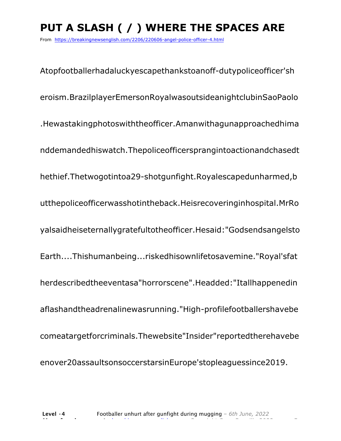# **PUT A SLASH ( / ) WHERE THE SPACES ARE**

From https://breakingnewsenglish.com/2206/220606-angel-police-officer-4.html

Atopfootballerhadaluckyescapethankstoanoff-dutypoliceofficer'sh eroism.BrazilplayerEmersonRoyalwasoutsideanightclubinSaoPaolo .Hewastakingphotoswiththeofficer.Amanwithagunapproachedhima nddemandedhiswatch.Thepoliceofficersprangintoactionandchasedt hethief.Thetwogotintoa29-shotgunfight.Royalescapedunharmed,b utthepoliceofficerwasshotintheback.Heisrecoveringinhospital.MrRo yalsaidheiseternallygratefultotheofficer.Hesaid:"Godsendsangelsto Earth....Thishumanbeing...riskedhisownlifetosavemine."Royal'sfat herdescribedtheeventasa"horrorscene".Headded:"Itallhappenedin aflashandtheadrenalinewasrunning."High-profilefootballershavebe comeatargetforcriminals.Thewebsite"Insider"reportedtherehavebe enover20assaultsonsoccerstarsinEurope'stopleaguessince2019.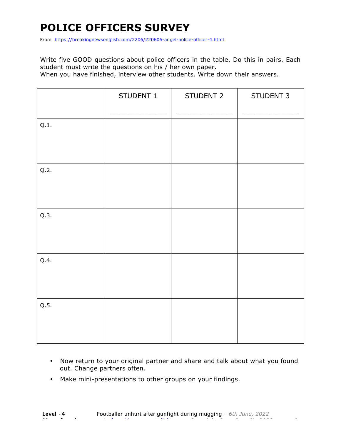# **POLICE OFFICERS SURVEY**

From https://breakingnewsenglish.com/2206/220606-angel-police-officer-4.html

Write five GOOD questions about police officers in the table. Do this in pairs. Each student must write the questions on his / her own paper.

When you have finished, interview other students. Write down their answers.

|      | STUDENT 1 | STUDENT 2 | STUDENT 3 |
|------|-----------|-----------|-----------|
| Q.1. |           |           |           |
| Q.2. |           |           |           |
| Q.3. |           |           |           |
| Q.4. |           |           |           |
| Q.5. |           |           |           |

- Now return to your original partner and share and talk about what you found out. Change partners often.
- Make mini-presentations to other groups on your findings.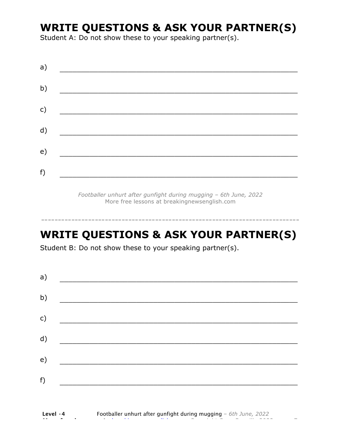# **WRITE QUESTIONS & ASK YOUR PARTNER(S)**

Student A: Do not show these to your speaking partner(s).

*Footballer unhurt after gunfight during mugging – 6th June, 2022* More free lessons at breakingnewsenglish.com

# **WRITE QUESTIONS & ASK YOUR PARTNER(S)**

-----------------------------------------------------------------------------

Student B: Do not show these to your speaking partner(s).

| a) |  |  |
|----|--|--|
| b) |  |  |
| c) |  |  |
| d) |  |  |
| e) |  |  |
| f) |  |  |
|    |  |  |